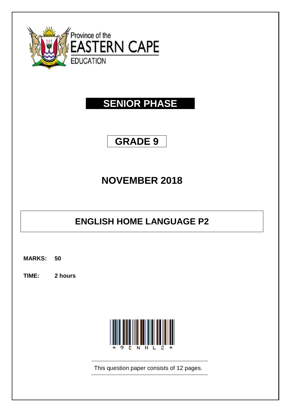

# **SENIOR PHASE**

# **GRADE 9**

# **NOVEMBER 2018**

# **ENGLISH HOME LANGUAGE P2**

**MARKS: 50**

**TIME: 2 hours**



This question paper consists of 12 pages.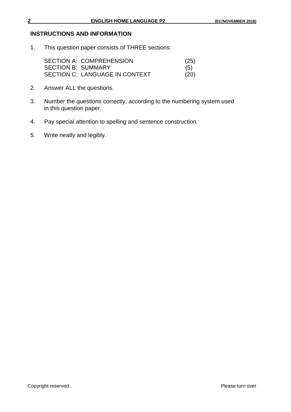#### **INSTRUCTIONS AND INFORMATION**

1. This question paper consists of THREE sections:

| <b>SECTION A: COMPREHENSION</b> | (25) |
|---------------------------------|------|
| <b>SECTION B: SUMMARY</b>       | (5)  |
| SECTION C: LANGUAGE IN CONTEXT  | (20) |

- 2. Answer ALL the questions.
- 3. Number the questions correctly, according to the numbering system used in this question paper.
- 4. Pay special attention to spelling and sentence construction.
- 5. Write neatly and legibly.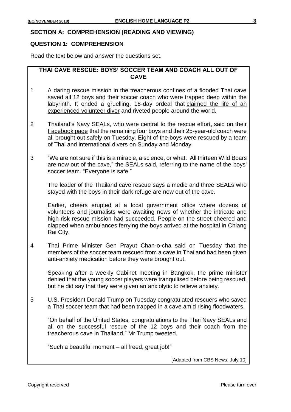#### **SECTION A: COMPREHENSION (READING AND VIEWING)**

#### **QUESTION 1: COMPREHENSION**

Read the text below and answer the questions set.

**THAI CAVE RESCUE: BOYS' SOCCER TEAM AND COACH ALL OUT OF CAVE**

- 1 A daring rescue mission in the treacherous confines of a flooded Thai cave saved all 12 boys and their soccer coach who were trapped deep within the labyrinth. It ended a gruelling, 18-day ordeal that claimed the life of an [experienced volunteer diver](https://www.cbsnews.com/news/thailand-cave-rescue-former-thai-navy-seal-dead-today-lack-of-oxygen-authorities-2018-07-06/) and riveted people around the world.
- 2 Thailand's Navy SEALs, who were central to the rescue effort, said on their [Facebook page](https://www.facebook.com/ThaiSEAL/photos/a.1393158180807577.1073741828.1393136284143100/1646429878813738/?type=3) that the remaining four boys and their 25-year-old coach were all brought out safely on Tuesday. Eight of the boys were rescued by a team of Thai and international divers on Sunday and Monday.
- 3 "We are not sure if this is a miracle, a science, or what. All thirteen Wild Boars are now out of the cave," the SEALs said, referring to the name of the boys' soccer team. "Everyone is safe."

The leader of the Thailand cave rescue says a medic and three SEALs who stayed with the boys in their dark refuge are now out of the cave.

Earlier, cheers erupted at a local government office where dozens of volunteers and journalists were awaiting news of whether the intricate and high-risk rescue mission had succeeded. People on the street cheered and clapped when ambulances ferrying the boys arrived at the hospital in Chiang Rai City.

4 Thai Prime Minister Gen Prayut Chan-o-cha said on Tuesday that the members of the soccer team rescued from a cave in Thailand had been given anti-anxiety medication before they were brought out.

Speaking after a weekly Cabinet meeting in Bangkok, the prime minister denied that the young soccer players were tranquilised before being rescued, but he did say that they were given an anxiolytic to relieve anxiety.

5 U.S. President Donald Trump on Tuesday congratulated rescuers who saved a Thai soccer team that had been trapped in a cave amid rising floodwaters.

"On behalf of the United States, congratulations to the Thai Navy SEALs and all on the successful rescue of the 12 boys and their coach from the treacherous cave in Thailand," Mr Trump tweeted.

"Such a beautiful moment – all freed, great job!"

[Adapted from CBS News, July 10]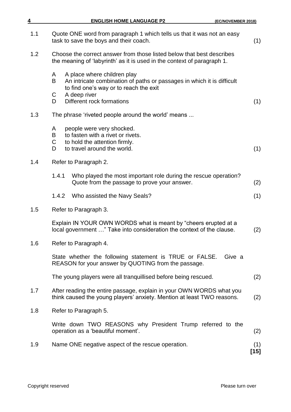| 4   | <b>ENGLISH HOME LANGUAGE P2</b><br>(EC/NOVEMBER 2018)                                                                                                                          |               |
|-----|--------------------------------------------------------------------------------------------------------------------------------------------------------------------------------|---------------|
| 1.1 | Quote ONE word from paragraph 1 which tells us that it was not an easy<br>task to save the boys and their coach.                                                               | (1)           |
| 1.2 | Choose the correct answer from those listed below that best describes<br>the meaning of 'labyrinth' as it is used in the context of paragraph 1.                               |               |
|     | A place where children play<br>A<br>B<br>An intricate combination of paths or passages in which it is difficult<br>to find one's way or to reach the exit<br>A deep river<br>С |               |
|     | Different rock formations<br>D                                                                                                                                                 | (1)           |
| 1.3 | The phrase 'riveted people around the world' means                                                                                                                             |               |
|     | people were very shocked.<br>A<br>to fasten with a rivet or rivets.<br>B<br>C<br>to hold the attention firmly.<br>to travel around the world.<br>D                             | (1)           |
| 1.4 | Refer to Paragraph 2.                                                                                                                                                          |               |
|     | Who played the most important role during the rescue operation?<br>1.4.1<br>Quote from the passage to prove your answer.                                                       | (2)           |
|     | 1.4.2<br>Who assisted the Navy Seals?                                                                                                                                          | (1)           |
| 1.5 | Refer to Paragraph 3.                                                                                                                                                          |               |
|     | Explain IN YOUR OWN WORDS what is meant by "cheers erupted at a<br>local government " Take into consideration the context of the clause.                                       | (2)           |
| 1.6 | Refer to Paragraph 4.                                                                                                                                                          |               |
|     | State whether the following statement is TRUE or FALSE.<br>Give a<br>REASON for your answer by QUOTING from the passage.                                                       |               |
|     | The young players were all tranquillised before being rescued.                                                                                                                 | (2)           |
| 1.7 | After reading the entire passage, explain in your OWN WORDS what you<br>think caused the young players' anxiety. Mention at least TWO reasons.                                 | (2)           |
| 1.8 | Refer to Paragraph 5.                                                                                                                                                          |               |
|     | Write down TWO REASONS why President Trump referred to the<br>operation as a 'beautiful moment'.                                                                               | (2)           |
| 1.9 | Name ONE negative aspect of the rescue operation.                                                                                                                              | (1)<br>$[15]$ |
|     |                                                                                                                                                                                |               |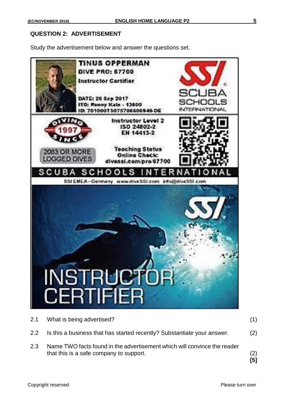### **QUESTION 2: ADVERTISEMENT**

Study the advertisement below and answer the questions set.



| 2.3     | Name TWO facts found in the advertisement which will convince the reader<br>that this is a safe company to support. | (2)<br>[5] |
|---------|---------------------------------------------------------------------------------------------------------------------|------------|
| $2.2\,$ | Is this a business that has started recently? Substantiate your answer.                                             | (2)        |
|         | 2.1 What is being advertised?                                                                                       |            |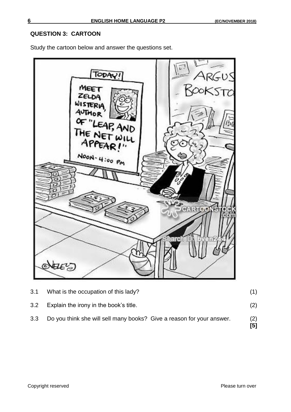### **QUESTION 3: CARTOON**

Study the cartoon below and answer the questions set.



| 3.3 <sub>2</sub> | Do you think she will sell many books? Give a reason for your answer. | (2)<br>[5] |
|------------------|-----------------------------------------------------------------------|------------|
| 3.2              | Explain the irony in the book's title.                                | (2)        |
| 3.1              | What is the occupation of this lady?                                  |            |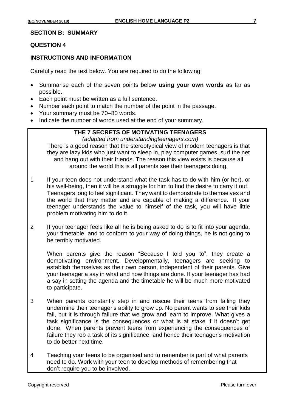### **QUESTION 4**

### **INSTRUCTIONS AND INFORMATION**

Carefully read the text below. You are required to do the following:

- Summarise each of the seven points below **using your own words** as far as possible.
- Each point must be written as a full sentence.
- Number each point to match the number of the point in the passage.
- Your summary must be 70–80 words.
- Indicate the number of words used at the end of your summary.

## **THE 7 SECRETS OF MOTIVATING TEENAGERS**

*(adapted from understandingteenagers.com)*

There is a good reason that the stereotypical view of modern teenagers is that they are lazy kids who just want to sleep in, play computer games, surf the net and hang out with their friends. The reason this view exists is because all around the world this is all parents see their teenagers doing.

- 1 If your teen does not understand what the task has to do with him (or her), or his well-being, then it will be a struggle for him to find the desire to carry it out. Teenagers long to feel significant. They want to demonstrate to themselves and the world that they matter and are capable of making a difference. If your teenager understands the value to himself of the task, you will have little problem motivating him to do it.
- 2 If your teenager feels like all he is being asked to do is to fit into your agenda, your timetable, and to conform to your way of doing things, he is not going to be terribly motivated.

When parents give the reason "Because I told you to", they create a demotivating environment. Developmentally, teenagers are seeking to establish themselves as their own person, independent of their parents. Give your teenager a say in what and how things are done. If your teenager has had a say in setting the agenda and the timetable he will be much more motivated to participate.

- 3 When parents constantly step in and rescue their teens from failing they undermine their teenager's ability to grow up. No parent wants to see their kids fail, but it is through failure that we grow and learn to improve. What gives a task significance is the consequences or what is at stake if it doesn't get done. When parents prevent teens from experiencing the consequences of failure they rob a task of its significance, and hence their teenager's motivation to do better next time.
- 4 Teaching your teens to be organised and to remember is part of what parents need to do. Work with your teen to develop methods of remembering that don't require you to be involved.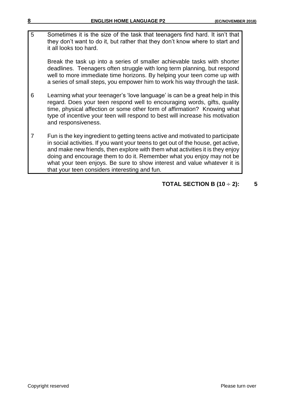5 Sometimes it is the size of the task that teenagers find hard. It isn't that they don't want to do it, but rather that they don't know where to start and it all looks too hard.

Break the task up into a series of smaller achievable tasks with shorter deadlines. Teenagers often struggle with long term planning, but respond well to more immediate time horizons. By helping your teen come up with a series of small steps, you empower him to work his way through the task.

- 6 Learning what your teenager's 'love language' is can be a great help in this regard. Does your teen respond well to encouraging words, gifts, quality time, physical affection or some other form of affirmation? Knowing what type of incentive your teen will respond to best will increase his motivation and responsiveness.
- 7 Fun is the key ingredient to getting teens active and motivated to participate in social activities. If you want your teens to get out of the house, get active, and make new friends, then explore with them what activities it is they enjoy doing and encourage them to do it. Remember what you enjoy may not be what your teen enjoys. Be sure to show interest and value whatever it is that your teen considers interesting and fun.

## **TOTAL SECTION B (10** ÷ **2): 5**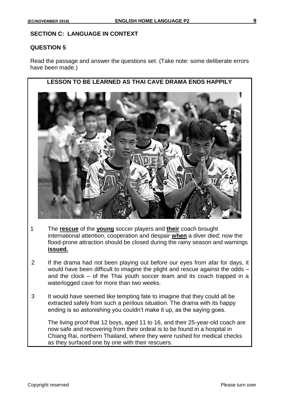#### **SECTION C: LANGUAGE IN CONTEXT**

#### **QUESTION 5**

Read the passage and answer the questions set. (Take note: some deliberate errors have been made.)



- 1 The **rescue** of the **young** soccer players and **their** coach brought international attention, cooperation and despair **when** a diver died; now the flood-prone attraction should be closed during the rainy season and warnings **issued.**
- 2 If the drama had not been playing out before our eyes from afar for days, it would have been difficult to imagine the plight and rescue against the odds – and the clock – of the Thai youth soccer team and its coach trapped in a waterlogged cave for more than two weeks.
- 3 It would have seemed like tempting fate to imagine that they could all be extracted safely from such a perilous situation. The drama with its happy ending is so astonishing you couldn't make it up, as the saying goes.

The living proof that 12 boys, aged 11 to 16, and their 25-year-old coach are now safe and recovering from their ordeal is to be found in a hospital in Chiang Rai, northern Thailand, where they were rushed for medical checks as they surfaced one by one with their rescuers.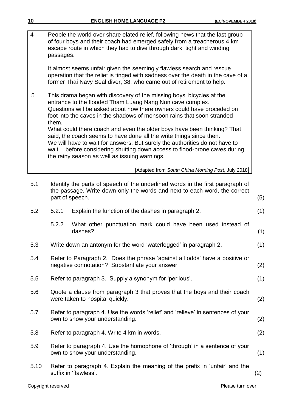| 4    | People the world over share elated relief, following news that the last group<br>of four boys and their coach had emerged safely from a treacherous 4 km<br>escape route in which they had to dive through dark, tight and winding<br>passages.                                                                                                                                                                                                                                                                                                                                                                                                                |     |
|------|----------------------------------------------------------------------------------------------------------------------------------------------------------------------------------------------------------------------------------------------------------------------------------------------------------------------------------------------------------------------------------------------------------------------------------------------------------------------------------------------------------------------------------------------------------------------------------------------------------------------------------------------------------------|-----|
|      | It almost seems unfair given the seemingly flawless search and rescue<br>operation that the relief is tinged with sadness over the death in the cave of a<br>former Thai Navy Seal diver, 38, who came out of retirement to help.                                                                                                                                                                                                                                                                                                                                                                                                                              |     |
| 5    | This drama began with discovery of the missing boys' bicycles at the<br>entrance to the flooded Tham Luang Nang Non cave complex.<br>Questions will be asked about how there owners could have proceded on<br>foot into the caves in the shadows of monsoon rains that soon stranded<br>them.<br>What could there coach and even the older boys have been thinking? That<br>said, the coach seems to have done all the write things since then.<br>We will have to wait for answers. But surely the authorities do not have to<br>before considering shutting down access to flood-prone caves during<br>wait<br>the rainy season as well as issuing warnings. |     |
|      | [Adapted from South China Morning Post, July 2018]                                                                                                                                                                                                                                                                                                                                                                                                                                                                                                                                                                                                             |     |
| 5.1  | Identify the parts of speech of the underlined words in the first paragraph of<br>the passage. Write down only the words and next to each word, the correct<br>part of speech.                                                                                                                                                                                                                                                                                                                                                                                                                                                                                 | (5) |
| 5.2  | 5.2.1<br>Explain the function of the dashes in paragraph 2.                                                                                                                                                                                                                                                                                                                                                                                                                                                                                                                                                                                                    | (1) |
|      | What other punctuation mark could have been used instead of<br>5.2.2<br>dashes?                                                                                                                                                                                                                                                                                                                                                                                                                                                                                                                                                                                | (1) |
| 5.3  | Write down an antonym for the word 'waterlogged' in paragraph 2.                                                                                                                                                                                                                                                                                                                                                                                                                                                                                                                                                                                               | (1) |
| 5.4  | Refer to Paragraph 2. Does the phrase 'against all odds' have a positive or<br>negative connotation? Substantiate your answer.                                                                                                                                                                                                                                                                                                                                                                                                                                                                                                                                 | (2) |
| 5.5  | Refer to paragraph 3. Supply a synonym for 'perilous'.                                                                                                                                                                                                                                                                                                                                                                                                                                                                                                                                                                                                         | (1) |
| 5.6  | Quote a clause from paragraph 3 that proves that the boys and their coach<br>were taken to hospital quickly.                                                                                                                                                                                                                                                                                                                                                                                                                                                                                                                                                   | (2) |
| 5.7  | Refer to paragraph 4. Use the words 'relief' and 'relieve' in sentences of your<br>own to show your understanding.                                                                                                                                                                                                                                                                                                                                                                                                                                                                                                                                             | (2) |
| 5.8  | Refer to paragraph 4. Write 4 km in words.                                                                                                                                                                                                                                                                                                                                                                                                                                                                                                                                                                                                                     | (2) |
| 5.9  | Refer to paragraph 4. Use the homophone of 'through' in a sentence of your<br>own to show your understanding.                                                                                                                                                                                                                                                                                                                                                                                                                                                                                                                                                  | (1) |
| 5.10 | Refer to paragraph 4. Explain the meaning of the prefix in 'unfair' and the<br>suffix in 'flawless'.                                                                                                                                                                                                                                                                                                                                                                                                                                                                                                                                                           | (2) |
|      |                                                                                                                                                                                                                                                                                                                                                                                                                                                                                                                                                                                                                                                                |     |